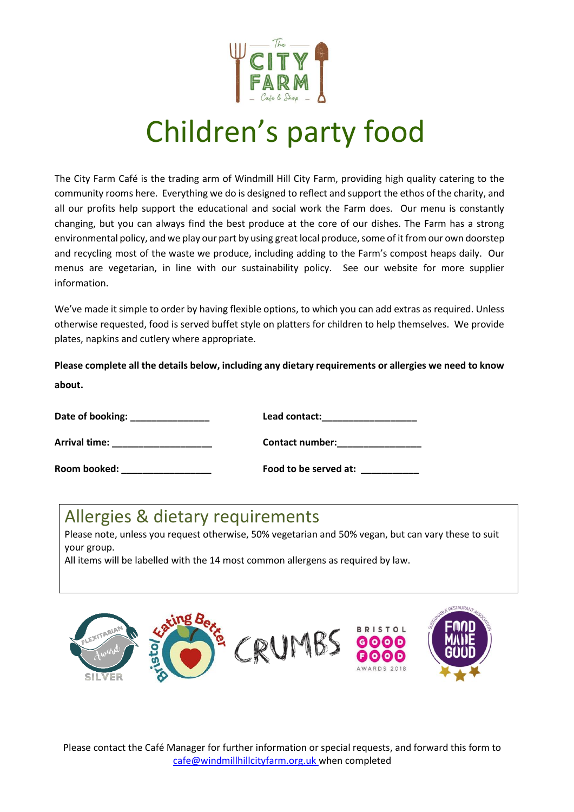

## Children's party food

The City Farm Café is the trading arm of Windmill Hill City Farm, providing high quality catering to the community rooms here. Everything we do is designed to reflect and support the ethos of the charity, and all our profits help support the educational and social work the Farm does. Our menu is constantly changing, but you can always find the best produce at the core of our dishes. The Farm has a strong environmental policy, and we play our part by using great local produce, some of it from our own doorstep and recycling most of the waste we produce, including adding to the Farm's compost heaps daily. Our menus are vegetarian, in line with our sustainability policy. See our website for more supplier information.

We've made it simple to order by having flexible options, to which you can add extras as required. Unless otherwise requested, food is served buffet style on platters for children to help themselves. We provide plates, napkins and cutlery where appropriate.

**Please complete all the details below, including any dietary requirements or allergies we need to know about.**

| Date of booking: | Lead contact:         |
|------------------|-----------------------|
| Arrival time:    | Contact number:       |
| Room booked:     | Food to be served at: |

## Allergies & dietary requirements

Please note, unless you request otherwise, 50% vegetarian and 50% vegan, but can vary these to suit your group.

All items will be labelled with the 14 most common allergens as required by law.



Please contact the Café Manager for further information or special requests, and forward this form to [cafe@windmillhillcityfarm.org.uk](mailto:cafe@windmillhillcityfarm.org.uk) when completed